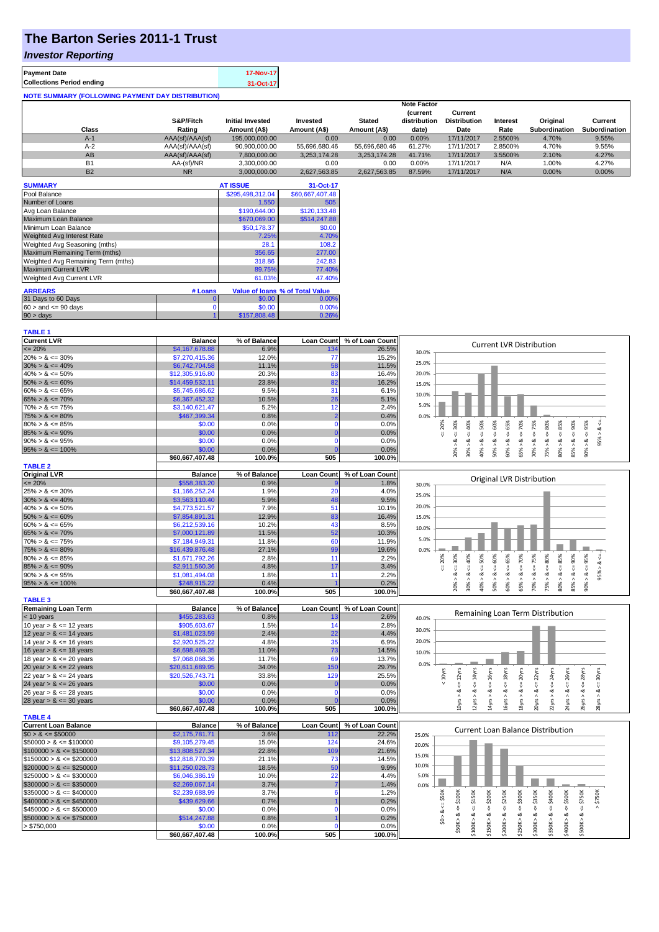# **The Barton Series 2011-1 Trust**

### *Investor Reporting*

| <b>Payment Date</b>                                      | <b>17-Nov-17</b> |  |  |  |
|----------------------------------------------------------|------------------|--|--|--|
| <b>Collections Period ending</b>                         | 31-Oct-17        |  |  |  |
| <b>NOTE SUMMARY (FOLLOWING PAYMENT DAY DISTRIBUTION)</b> |                  |  |  |  |

|                |                 |                         |               |               | <b>Note Factor</b> |                     |                 |                      |                      |
|----------------|-----------------|-------------------------|---------------|---------------|--------------------|---------------------|-----------------|----------------------|----------------------|
|                |                 |                         |               |               | <b>Current</b>     | Current             |                 |                      |                      |
|                | S&P/Fitch       | <b>Initial Invested</b> | Invested      | <b>Stated</b> | distribution       | <b>Distribution</b> | <b>Interest</b> | Original             | Current              |
| <b>Class</b>   | Rating          | Amount (A\$)            | Amount (A\$)  | Amount (A\$)  | date)              | Date                | Rate            | <b>Subordination</b> | <b>Subordination</b> |
| $A-1$          | AAA(sf)/AAA(sf) | 195.000.000.00          | 0.00          | 0.00          | 0.00%              | 17/11/2017          | 2.5500%         | 4.70%                | 9.55%                |
| $A-2$          | AAA(sf)/AAA(sf) | 90,900,000.00           | 55.696.680.46 | 55.696.680.46 | 61.27%             | 17/11/2017          | 2.8500%         | 4.70%                | 9.55%                |
| AB             | AAA(sf)/AAA(sf) | 7.800.000.00            | 3.253.174.28  | 3.253.174.28  | 41.71%             | 17/11/2017          | 3.5500%         | 2.10%                | 4.27%                |
| <b>B1</b>      | AA-(sf)/NR      | 3.300.000.00            | 0.00          | 0.00          | 0.00%              | 17/11/2017          | N/A             | 1.00%                | 4.27%                |
| B <sub>2</sub> | <b>NR</b>       | 3.000.000.00            | 2.627.563.85  | 2.627.563.85  | 87.59%             | 17/11/2017          | N/A             | 0.00%                | 0.00%                |

| <b>SUMMARY</b>                     |         | <b>AT ISSUE</b>  | 31-Oct-17                       |
|------------------------------------|---------|------------------|---------------------------------|
| Pool Balance                       |         | \$295,498,312.04 | \$60,667,407.48                 |
| Number of Loans                    |         | 1,550            | 505                             |
| Avg Loan Balance                   |         | \$190,644.00     | \$120,133.48                    |
| Maximum Loan Balance               |         | \$670,069.00     | \$514,247.88                    |
| Minimum Loan Balance               |         | \$50,178.37      | \$0.00                          |
| Weighted Avg Interest Rate         |         | 7.25%            | 4.70%                           |
| Weighted Avg Seasoning (mths)      |         | 28.1             | 108.2                           |
| Maximum Remaining Term (mths)      |         | 356.65           | 277.00                          |
| Weighted Avg Remaining Term (mths) |         | 318.86           | 242.83                          |
| <b>Maximum Current LVR</b>         |         | 89.75%           | 77.40%                          |
| Weighted Avg Current LVR           |         | 61.03%           | 47.40%                          |
| <b>ARREARS</b>                     | # Loans |                  | Value of Ioans % of Total Value |
| 31 Days to 60 Days                 | 0       | \$0.00           | 0.00%                           |
| $60 >$ and $\leq 90$ days          | n       | \$0.00           | 0.00%                           |
| $90 > \text{days}$                 |         | \$157,808.48     | 0.26%                           |

| <b>TABLE 1</b>              |                           |                      |                   |                          |                                                                                                                                                                                |
|-----------------------------|---------------------------|----------------------|-------------------|--------------------------|--------------------------------------------------------------------------------------------------------------------------------------------------------------------------------|
| <b>Current LVR</b>          | <b>Balance</b>            | % of Balance         | <b>Loan Count</b> | % of Loan Count          | <b>Current LVR Distribution</b>                                                                                                                                                |
| $\epsilon = 20\%$           | \$4,167,678.88            | 6.9%                 | 134               | 26.5%                    | 30.0%                                                                                                                                                                          |
| $20\% > 8 \le 30\%$         | \$7,270,415.36            | 12.0%                | 77                | 15.2%                    |                                                                                                                                                                                |
| $30\% > 8 \le 40\%$         | \$6,742,704.58            | 11.1%                | 58                | 11.5%                    | 25.0%                                                                                                                                                                          |
| $40\% > 8 \le 50\%$         | \$12,305,916.80           | 20.3%                | 83                | 16.4%                    | 20.0%                                                                                                                                                                          |
| $50\% > 8 \le 60\%$         | \$14,459,532.11           | 23.8%                | 82                | 16.2%                    | 15.0%                                                                                                                                                                          |
| $60\% > 8 \le 65\%$         | \$5,745,686.62            | 9.5%                 | 31                | 6.1%                     | 10.0%                                                                                                                                                                          |
| $65\% > 8 \le 70\%$         | \$6,367,452.32            | 10.5%                | 26                | 5.1%                     |                                                                                                                                                                                |
| $70\% > 8 \le 75\%$         | \$3,140,621.47            | 5.2%                 | 12                | 2.4%                     | 5.0%                                                                                                                                                                           |
| $75\% > 8 \le 80\%$         | \$467,399.34              | 0.8%                 | $\overline{2}$    | 0.4%                     | 0.0%                                                                                                                                                                           |
| $80\% > 8 \le 85\%$         | \$0.00                    | 0.0%                 | $\mathbf 0$       | 0.0%                     | 40%<br>50%<br>65%<br>90%<br>20%<br>30%<br>70%<br>75%<br>80%                                                                                                                    |
| $85\% > 8 \le 90\%$         | \$0.00                    | 0.0%                 | $\overline{0}$    | 0.0%                     | $\leq 60\%$<br>95% > 8 <<br>V<br>Ų,<br>₹<br>$\stackrel{\scriptscriptstyle \text{II}}{\mathsf{v}}$<br>₩<br>₩<br>Ÿ,<br>$\stackrel{0}{\vee}$                                      |
| $90\% > 8 \le 95\%$         | \$0.00                    | 0.0%                 | $\Omega$          | 0.0%                     | ∞<br>ವ<br>œ<br>ಷ                                                                                                                                                               |
| $95\% > 8 \le 100\%$        | \$0.00                    | 0.0%                 |                   | 0.0%                     | $80\% > 8 \Leftarrow 85\%$<br>$90\% > 8 <= 95\%$<br>40% > 8<br>50% > 8<br>75% > 8<br>60% > 8<br>85% > 8.<br>20% ><br>65% ><br>70% ><br>$30\% >$                                |
|                             | \$60,667,407.48           | 100.0%               | 505               | 100.0%                   |                                                                                                                                                                                |
| <b>TABLE 2</b>              |                           |                      |                   |                          |                                                                                                                                                                                |
| <b>Original LVR</b>         | <b>Balance</b>            | % of Balance         | <b>Loan Count</b> | % of Loan Count          | Original LVR Distribution                                                                                                                                                      |
| $\epsilon = 20\%$           | \$558,383.20              | 0.9%                 |                   | 1.8%                     | 30.0%                                                                                                                                                                          |
| $25\% > 8 \le 30\%$         | \$1,166,252.24            | 1.9%                 | 20                | 4.0%                     | 25.0%                                                                                                                                                                          |
| $30\% > 8 \le 40\%$         | \$3,563,110.40            | 5.9%                 | 48                | 9.5%                     |                                                                                                                                                                                |
| $40\% > 8 \le 50\%$         | \$4,773,521.57            | 7.9%                 | 51                | 10.1%                    | 20.0%                                                                                                                                                                          |
| $50\% > 8 \le 60\%$         | \$7,854,891.31            | 12.9%                | 83                | 16.4%                    | 15.0%                                                                                                                                                                          |
| $60\% > 8 \le 65\%$         | \$6,212,539.16            | 10.2%                | 43                | 8.5%                     | 10.0%                                                                                                                                                                          |
| $65\% > 8 \le 70\%$         | \$7,000,121.89            | 11.5%                | 52                | 10.3%                    |                                                                                                                                                                                |
| $70\% > 8 \le 75\%$         | \$7,184,949.31            | 11.8%                | 60                | 11.9%                    | 5.0%                                                                                                                                                                           |
| $75\% > 8 \le 80\%$         | \$16,439,876.48           | 27.1%                | 99                | 19.6%                    | 0.0%                                                                                                                                                                           |
| $80\% > 8 \le 85\%$         | \$1,671,792.26            | 2.8%                 | 11                | 2.2%                     | 90%<br>40%<br>70%<br>20%                                                                                                                                                       |
| $85\% > 8 \le 90\%$         | \$2,911,560.36            | 4.8%                 | 17                | 3.4%                     | $<=65\%$<br>$<=75%$<br>$8 - 30%$<br>$<=50%$<br>$8 - 60%$<br>$95% > 8 < =$<br>$<=$<br>$<=$<br>$<=$                                                                              |
| $90\% > 8 \le 95\%$         | \$1,081,494.08            | 1.8%                 | 11                | 2.2%                     |                                                                                                                                                                                |
| $95\% > 8 \le 100\%$        | \$248,915.22              | 0.4%                 |                   | 0.2%                     | $75\% > 8 \leq 80\%$<br>$80\% > 8 \leq 85\%$<br>$90\% > 8 <= 95\%$<br>$40\%$ $>$<br>50% ><br>60% ><br>65% ><br>70% ><br>20%<br>30% ><br>85% >                                  |
|                             | \$60,667,407.48           | 100.0%               | 505               | 100.0%                   |                                                                                                                                                                                |
| <b>TABLE 3</b>              |                           |                      |                   |                          |                                                                                                                                                                                |
| <b>Remaining Loan Term</b>  | <b>Balance</b>            | % of Balance         | <b>Loan Count</b> | % of Loan Count          | Remaining Loan Term Distribution                                                                                                                                               |
| < 10 years                  | \$455,283.63              | 0.8%                 | 13                | 2.6%                     | 40.0%                                                                                                                                                                          |
| 10 year $> 8 \le 12$ years  | \$905,603.67              | 1.5%                 | 14                | 2.8%                     | 30.0%                                                                                                                                                                          |
| 12 year $> 8 \le 14$ years  | \$1,481,023.59            | 2.4%                 | 22                | 4.4%                     |                                                                                                                                                                                |
| 14 year $> 8 \le 16$ years  | \$2,920,525.22            | 4.8%                 | 35                | 6.9%                     | 20.0%                                                                                                                                                                          |
| 16 year $> 8 \le 18$ years  | \$6,698,469.35            | 11.0%                | 73                | 14.5%                    | 10.0%                                                                                                                                                                          |
| 18 year $> 8 \le 20$ years  | \$7,068,068.36            | 11.7%                | 69                | 13.7%                    | 0.0%                                                                                                                                                                           |
| 20 year $> 8 \le 22$ years  | \$20,611,689.95           | 34.0%                | 150               | 29.7%                    |                                                                                                                                                                                |
| 22 year $> 8 \le 24$ years  | \$20,526,743.71           | 33.8%                | 129               | 25.5%                    | $\leq$ = 18yrs<br>$\epsilon$ = 22 $\gamma$ rs<br>$\leq$ $28\gamma$ rs<br>$\epsilon$ = 12 $\gamma$ rs<br>$\epsilon$ = 20 $\gamma$ rs<br>$&lt;=26yrs$<br>: 10yrs<br>$4 = 30$ yrs |
| 24 year $> 8 \le 26$ years  | \$0.00                    | 0.0%                 | $\mathbf 0$       | 0.0%                     |                                                                                                                                                                                |
| 26 year $> 8 \le 28$ years  | \$0.00                    | 0.0%                 | $\Omega$          | 0.0%                     | ಷ<br>ಹ                                                                                                                                                                         |
| 28 year $> 8 \le 30$ years  | \$0.00                    | 0.0%                 |                   | 0.0%                     | $12yrs > 8c = 14yrs$<br>$14yrs > 8c = 16yrs$<br>$22yrs > 8 <= 24yrs$<br>16yrs > 8<br>8yrs > 8<br>20yrs > 8<br>10yrs > 8<br>24yrs ><br>26yrs ><br>28yrs                         |
|                             | \$60,667,407.48           | 100.0%               | 505               | 100.0%                   |                                                                                                                                                                                |
| <b>TABLE 4</b>              |                           |                      |                   |                          |                                                                                                                                                                                |
| <b>Current Loan Balance</b> | <b>Balance</b>            | % of Balance<br>3.6% | <b>Loan Count</b> | % of Loan Count<br>22.2% | <b>Current Loan Balance Distribution</b>                                                                                                                                       |
| $$0 > 8 \leq $50000$        | \$2,175,781.71            |                      | 112<br>124        |                          | 25.0%                                                                                                                                                                          |
| $$50000 > 8 \le $100000$    | \$9,105,279.45            | 15.0%<br>22.8%       | 109               | 24.6%<br>21.6%           | 20.0%                                                                                                                                                                          |
| $$100000 > 8 \le $150000$   | \$13,808,527.34           |                      |                   |                          | 15.0%                                                                                                                                                                          |
| $$150000 > 8 \leq $200000$  | \$12,818,770.39           | 21.1%                | 73                | 14.5%                    | 10.0%                                                                                                                                                                          |
| $$200000 > 8 \leq $250000$  | \$11,250,028.73           | 18.5%                | 50                | 9.9%                     | 5.0%                                                                                                                                                                           |
| $$250000 > 8 \leq $300000$  | \$6,046,386.19            | 10.0%                | 22                | 4.4%                     |                                                                                                                                                                                |
| $$300000 > 8 \leq $350000$  | \$2,269,067.14            | 3.7%                 | $\overline{7}$    | 1.4%                     | 0.0%                                                                                                                                                                           |
| $$350000 > 8 \leq $400000$  | \$2,239,688.99            | 3.7%                 | 6                 | 1.2%                     | $4 = $300K$<br>$4 = $400K$<br>\$750K<br>\$750K<br>$$0 > 8 <= $50$ K<br>$4 = $500K$                                                                                             |
| $$400000 > 8 \leq $450000$  | \$439,629.66              | 0.7%                 |                   | 0.2%                     | ₩                                                                                                                                                                              |
| $$450000 > 8 \leq $500000$  | \$0.00                    | 0.0%                 | $\Omega$          | 0.0%                     |                                                                                                                                                                                |
|                             |                           |                      |                   |                          |                                                                                                                                                                                |
| $$500000 > 8 \le $750000$   | \$514,247.88              | 0.8%                 |                   | 0.2%                     |                                                                                                                                                                                |
| > \$750,000                 | \$0.00<br>\$60,667,407.48 | 0.0%<br>100.0%       | $\Omega$<br>505   | 0.0%<br>100.0%           | $$50K > 8 <= $100K$<br>$$100K > 8 \le 5150K$<br>$$150K > <= $200K$$<br>$$200K > 8 \leq 5250K$<br>$$300K > 8 <= $350K$<br>\$250K > 8<br>\$350K > 8<br>\$400K > 8<br>\$500K > 8  |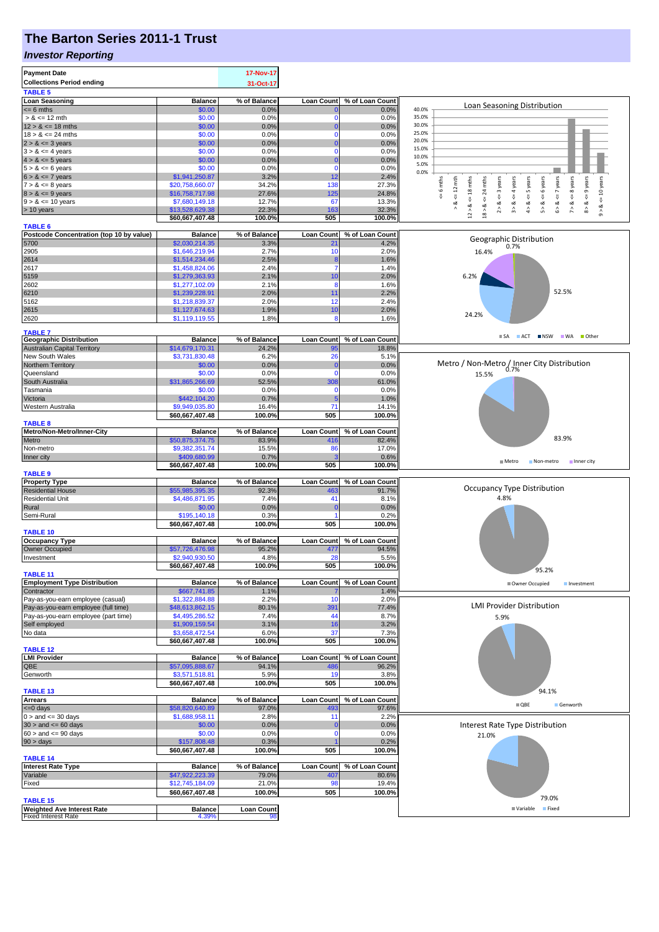# **The Barton Series 2011-1 Trust**

#### *Investor Reporting*

| <b>Payment Date</b>                                             |                                  | <b>17-Nov-17</b>  |                             |                            |                                                                                                                                                                                                                  |
|-----------------------------------------------------------------|----------------------------------|-------------------|-----------------------------|----------------------------|------------------------------------------------------------------------------------------------------------------------------------------------------------------------------------------------------------------|
| <b>Collections Period ending</b>                                |                                  | 31-Oct-17         |                             |                            |                                                                                                                                                                                                                  |
| <b>TABLE 5</b>                                                  |                                  |                   |                             |                            |                                                                                                                                                                                                                  |
| <b>Loan Seasoning</b>                                           | <b>Balance</b>                   | % of Balance      | <b>Loan Count</b>           | % of Loan Count            | Loan Seasoning Distribution                                                                                                                                                                                      |
| $= 6$ mths                                                      | \$0.00                           | 0.0%              | $\mathbf 0$                 | 0.0%                       | 40.0%                                                                                                                                                                                                            |
| $> 8 \le 12$ mth                                                | \$0.00                           | 0.0%              | $\mathbf 0$                 | 0.0%                       | 35.0%<br>30.0%                                                                                                                                                                                                   |
| $12 > 8 \le 18$ mths                                            | \$0.00                           | 0.0%<br>0.0%      | $\mathbf{0}$<br>$\mathbf 0$ | 0.0%                       | 25.0%                                                                                                                                                                                                            |
| $18 > 8 \le 24$ mths<br>$2 > 8 \le 3$ years                     | \$0.00<br>\$0.00                 | 0.0%              | $\mathbf 0$                 | 0.0%<br>0.0%               | 20.0%                                                                                                                                                                                                            |
| $3 > 8 \le 4$ years                                             | \$0.00                           | 0.0%              | $\mathbf 0$                 | 0.0%                       | 15.0%                                                                                                                                                                                                            |
| $4 > 8 \le 5$ years                                             | \$0.00                           | 0.0%              | $\mathbf{0}$                | 0.0%                       | 10.0%                                                                                                                                                                                                            |
| $5 > 8 \le 6$ years                                             | \$0.00                           | 0.0%              | $\mathbf{0}$                | 0.0%                       | 5.0%<br><b>III</b>                                                                                                                                                                                               |
| $6 > 8 \le 7$ years                                             | \$1,941,250.87                   | 3.2%              | 12                          | 2.4%                       | 0.0%                                                                                                                                                                                                             |
| $7 > 8 \le 8$ years                                             | \$20,758,660.07                  | 34.2%             | 138                         | 27.3%                      | $\leq$ 7 years<br>$\leq$ 9 years<br>$\le$ 6 years<br>$\leq$ 8 years<br>$\leq 6$ mths<br>$\leq 12$ mth<br>18 mths<br>$\le$ = 5 years<br>$\leq 10$ years<br>$\leq$ 24 mths<br>$\leq$ = 3 years<br>$\leq$ = 4 years |
| $8 > 8 \le 9$ years                                             | \$16,758,717.98                  | 27.6%             | 125                         | 24.8%                      |                                                                                                                                                                                                                  |
| $9 > 8 \le 10$ years                                            | \$7,680,149.18                   | 12.7%             | 67                          | 13.3%                      | V<br>∢∝<br>ಷ<br>ಷ                                                                                                                                                                                                |
| > 10 years                                                      | \$13,528,629.38                  | 22.3%             | 163                         | 32.3%                      | 3 > 8<br>4 > 8<br>5 > 8<br>6 > 8<br>7 > 8<br>8 > 8<br>$18 > 8$ .<br>ø<br>$\hat{2}$<br>$\hat{\circ}$                                                                                                              |
|                                                                 | \$60,667,407.48                  | 100.0%            | 505                         | 100.0%                     | $\overline{12}$                                                                                                                                                                                                  |
| <b>TABLE 6</b>                                                  |                                  |                   |                             |                            |                                                                                                                                                                                                                  |
| Postcode Concentration (top 10 by value)                        | <b>Balance</b>                   | % of Balance      | <b>Loan Count</b>           | % of Loan Count            | Geographic Distribution                                                                                                                                                                                          |
| 5700                                                            | \$2,030,214.35                   | 3.3%              | 21                          | 4.2%                       | 0.7%                                                                                                                                                                                                             |
| 2905                                                            | \$1,646,219.94                   | 2.7%              | 10                          | 2.0%                       | 16.4%                                                                                                                                                                                                            |
| 2614                                                            | \$1,514,234.46                   | 2.5%              | -8<br>$\overline{7}$        | 1.6%                       |                                                                                                                                                                                                                  |
| 2617                                                            | \$1,458,824.06                   | 2.4%<br>2.1%      |                             | 1.4%<br>2.0%               | 6.2%                                                                                                                                                                                                             |
| 5159<br>2602                                                    | \$1,279,363.93<br>\$1,277,102.09 | 2.1%              | 10<br>8                     | 1.6%                       |                                                                                                                                                                                                                  |
| 6210                                                            | \$1,239,228.91                   | 2.0%              | 11                          | 2.2%                       | 52.5%                                                                                                                                                                                                            |
| 5162                                                            | \$1,218,839.37                   | 2.0%              | 12                          | 2.4%                       |                                                                                                                                                                                                                  |
| 2615                                                            | \$1,127,674.63                   | 1.9%              | 10                          | 2.0%                       |                                                                                                                                                                                                                  |
| 2620                                                            | \$1,119,119.55                   | 1.8%              | 8                           | 1.6%                       | 24.2%                                                                                                                                                                                                            |
|                                                                 |                                  |                   |                             |                            |                                                                                                                                                                                                                  |
| <b>TABLE 7</b>                                                  |                                  |                   |                             |                            | ACT NSW WA Other<br><b>■ SA</b>                                                                                                                                                                                  |
| <b>Geographic Distribution</b>                                  | <b>Balance</b>                   | % of Balance      | <b>Loan Count</b>           | % of Loan Count            |                                                                                                                                                                                                                  |
| <b>Australian Capital Territory</b>                             | \$14,679,170.31                  | 24.2%             | 95                          | 18.8%                      |                                                                                                                                                                                                                  |
| New South Wales                                                 | \$3,731,830.48                   | 6.2%              | 26                          | 5.1%                       | Metro / Non-Metro / Inner City Distribution                                                                                                                                                                      |
| Northern Territory                                              | \$0.00                           | 0.0%              | $\mathbf 0$                 | 0.0%                       |                                                                                                                                                                                                                  |
| Queensland                                                      | \$0.00                           | 0.0%              | $\mathbf{0}$                | 0.0%                       | 15.5%                                                                                                                                                                                                            |
| South Australia<br>Tasmania                                     | \$31,865,266.69<br>\$0.00        | 52.5%<br>0.0%     | 308<br>$\Omega$             | 61.0%<br>0.0%              |                                                                                                                                                                                                                  |
| Victoria                                                        | \$442,104.20                     | 0.7%              | 5                           | 1.0%                       |                                                                                                                                                                                                                  |
| Western Australia                                               | \$9,949,035.80                   | 16.4%             | 71                          | 14.1%                      |                                                                                                                                                                                                                  |
|                                                                 | \$60,667,407.48                  | 100.0%            | 505                         | 100.0%                     |                                                                                                                                                                                                                  |
| <b>TABLE 8</b>                                                  |                                  |                   |                             |                            |                                                                                                                                                                                                                  |
| Metro/Non-Metro/Inner-City                                      | <b>Balance</b>                   | % of Balance      | <b>Loan Count</b>           | % of Loan Count            |                                                                                                                                                                                                                  |
| Metro                                                           | \$50,875,374.75                  | 83.9%             | 416                         | 82.4%                      | 83.9%                                                                                                                                                                                                            |
| Non-metro                                                       | \$9,382,351.74                   | 15.5%             | 86                          | 17.0%                      |                                                                                                                                                                                                                  |
| Inner city                                                      | \$409,680.99                     | 0.7%              |                             | 0.6%                       | <b>■</b> Metro<br>Imper city                                                                                                                                                                                     |
|                                                                 | \$60,667,407.48                  | 100.0%            | 505                         | 100.0%                     | Non-metro                                                                                                                                                                                                        |
| <b>TABLE 9</b>                                                  |                                  |                   |                             |                            |                                                                                                                                                                                                                  |
| <b>Property Type</b>                                            | <b>Balance</b>                   | % of Balance      | <b>Loan Count</b>           | % of Loan Count            |                                                                                                                                                                                                                  |
| <b>Residential House</b>                                        | \$55,985,395.35                  | 92.3%             | 463                         | 91.7%                      | <b>Occupancy Type Distribution</b>                                                                                                                                                                               |
| <b>Residential Unit</b>                                         | \$4,486,871.95                   | 7.4%              | 41                          | 8.1%                       | 4.8%                                                                                                                                                                                                             |
| Rural                                                           | \$0.00                           | 0.0%              | $\mathbf{0}$                | 0.0%                       |                                                                                                                                                                                                                  |
| Semi-Rural                                                      | \$195,140.18                     | 0.3%<br>100.0%    | 505                         | 0.2%                       |                                                                                                                                                                                                                  |
| <b>TABLE 10</b>                                                 | \$60,667,407.48                  |                   |                             | 100.0%                     |                                                                                                                                                                                                                  |
| <b>Occupancy Type</b>                                           | <b>Balance</b>                   | % of Balance      | <b>Loan Count</b>           | % of Loan Count            |                                                                                                                                                                                                                  |
| <b>Owner Occupied</b>                                           | \$57,726,476.98                  | 95.2%             | 477                         | 94.5%                      |                                                                                                                                                                                                                  |
| Investment                                                      | \$2.940.930.50                   | 4.8%              |                             | $5.5\%$                    |                                                                                                                                                                                                                  |
|                                                                 | \$60,667,407.48                  | 100.0%            | 505                         | 100.0%                     |                                                                                                                                                                                                                  |
| <b>TABLE 11</b>                                                 |                                  |                   |                             |                            | 95.2%                                                                                                                                                                                                            |
| <b>Employment Type Distribution</b>                             | <b>Balance</b>                   | % of Balance      | Loan Count                  | % of Loan Count            | Owner Occupied<br><b>Investment</b>                                                                                                                                                                              |
| Contractor                                                      | \$667,741.85                     | 1.1%              |                             | 1.4%                       |                                                                                                                                                                                                                  |
| Pay-as-you-earn employee (casual)                               | \$1,322,884.88                   | 2.2%              | 10                          | 2.0%                       |                                                                                                                                                                                                                  |
| Pay-as-you-earn employee (full time)                            | \$48,613,862.15                  | 80.1%             | 391                         | 77.4%                      | <b>LMI Provider Distribution</b>                                                                                                                                                                                 |
| Pay-as-you-earn employee (part time)                            | \$4,495,286.52                   | 7.4%              | 44                          | 8.7%                       | 5.9%                                                                                                                                                                                                             |
| Self employed                                                   | \$1,909,159.54                   | 3.1%              | 16                          | 3.2%                       |                                                                                                                                                                                                                  |
| No data                                                         | \$3,658,472.54                   | 6.0%              | 37                          | 7.3%                       |                                                                                                                                                                                                                  |
|                                                                 | \$60,667,407.48                  | 100.0%            | 505                         | 100.0%                     |                                                                                                                                                                                                                  |
| <b>TABLE 12</b><br><b>LMI Provider</b>                          | <b>Balance</b>                   | % of Balance      | <b>Loan Count</b>           | % of Loan Count            |                                                                                                                                                                                                                  |
| QBE                                                             | \$57,095,888.67                  | 94.1%             | 486                         | 96.2%                      |                                                                                                                                                                                                                  |
| Genworth                                                        | \$3,571,518.81                   | 5.9%              | 19                          | 3.8%                       |                                                                                                                                                                                                                  |
|                                                                 | \$60,667,407.48                  | 100.0%            | 505                         | 100.0%                     |                                                                                                                                                                                                                  |
| <b>TABLE 13</b>                                                 |                                  |                   |                             |                            | 94.1%                                                                                                                                                                                                            |
| Arrears                                                         | <b>Balance</b>                   | % of Balance      | <b>Loan Count</b>           | % of Loan Count            |                                                                                                                                                                                                                  |
| $= 0$ days                                                      | \$58,820,640.89                  | 97.0%             | 493                         | 97.6%                      | $\blacksquare$ QBE<br>Genworth                                                                                                                                                                                   |
| $0 >$ and $\leq$ 30 days                                        | \$1,688,958.11                   | 2.8%              | 11                          | 2.2%                       |                                                                                                                                                                                                                  |
| $30 >$ and $\leq 60$ days                                       | \$0.00                           | 0.0%              | $\mathbf{0}$                | 0.0%                       | Interest Rate Type Distribution                                                                                                                                                                                  |
| $60 >$ and $\leq 90$ days                                       | \$0.00                           | 0.0%              | $\mathbf{0}$                | 0.0%                       | 21.0%                                                                                                                                                                                                            |
| $90 > \text{days}$                                              | \$157,808.48                     | 0.3%              |                             | 0.2%                       |                                                                                                                                                                                                                  |
|                                                                 | \$60,667,407.48                  | 100.0%            | 505                         | 100.0%                     |                                                                                                                                                                                                                  |
| <b>TABLE 14</b>                                                 |                                  |                   |                             |                            |                                                                                                                                                                                                                  |
| <b>Interest Rate Type</b>                                       | <b>Balance</b>                   | % of Balance      |                             | Loan Count % of Loan Count |                                                                                                                                                                                                                  |
| Variable                                                        | \$47,922,223.39                  | 79.0%             | 407                         | 80.6%                      |                                                                                                                                                                                                                  |
| Fixed                                                           | \$12,745,184.09                  | 21.0%             | 98                          | 19.4%                      |                                                                                                                                                                                                                  |
|                                                                 | \$60,667,407.48                  | 100.0%            | 505                         | 100.0%                     | 79.0%                                                                                                                                                                                                            |
| <b>TABLE 15</b>                                                 |                                  |                   |                             |                            | ■ Variable<br>Fixed                                                                                                                                                                                              |
| <b>Weighted Ave Interest Rate</b><br><b>Fixed Interest Rate</b> | <b>Balance</b><br>4.39%          | <b>Loan Count</b> |                             |                            |                                                                                                                                                                                                                  |
|                                                                 |                                  |                   |                             |                            |                                                                                                                                                                                                                  |